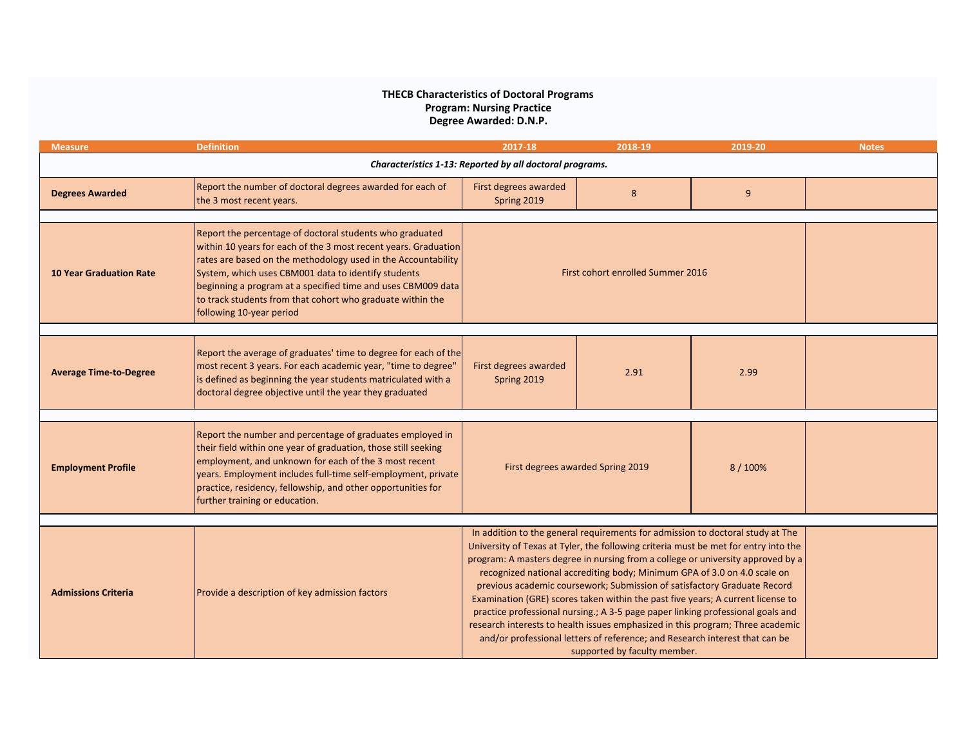## **Program: Nursing Practice THECB Characteristics of Doctoral Programs Degree Awarded: D.N.P.**

| <b>Measure</b>                                           | <b>Definition</b>                                                                                                                                                                                                                                                                                                                                                                                             | 2017-18                                                                                                                                                                                                                                                                                                                                                                                                                                                                                                                                                                                                                                                                                                                                                                                 | 2018-19 | 2019-20 | <b>Notes</b> |  |
|----------------------------------------------------------|---------------------------------------------------------------------------------------------------------------------------------------------------------------------------------------------------------------------------------------------------------------------------------------------------------------------------------------------------------------------------------------------------------------|-----------------------------------------------------------------------------------------------------------------------------------------------------------------------------------------------------------------------------------------------------------------------------------------------------------------------------------------------------------------------------------------------------------------------------------------------------------------------------------------------------------------------------------------------------------------------------------------------------------------------------------------------------------------------------------------------------------------------------------------------------------------------------------------|---------|---------|--------------|--|
| Characteristics 1-13: Reported by all doctoral programs. |                                                                                                                                                                                                                                                                                                                                                                                                               |                                                                                                                                                                                                                                                                                                                                                                                                                                                                                                                                                                                                                                                                                                                                                                                         |         |         |              |  |
| <b>Degrees Awarded</b>                                   | Report the number of doctoral degrees awarded for each of<br>the 3 most recent years.                                                                                                                                                                                                                                                                                                                         | First degrees awarded<br>Spring 2019                                                                                                                                                                                                                                                                                                                                                                                                                                                                                                                                                                                                                                                                                                                                                    | 8       | 9       |              |  |
| <b>10 Year Graduation Rate</b>                           | Report the percentage of doctoral students who graduated<br>within 10 years for each of the 3 most recent years. Graduation<br>rates are based on the methodology used in the Accountability<br>System, which uses CBM001 data to identify students<br>beginning a program at a specified time and uses CBM009 data<br>to track students from that cohort who graduate within the<br>following 10-year period | First cohort enrolled Summer 2016                                                                                                                                                                                                                                                                                                                                                                                                                                                                                                                                                                                                                                                                                                                                                       |         |         |              |  |
| <b>Average Time-to-Degree</b>                            | Report the average of graduates' time to degree for each of the<br>most recent 3 years. For each academic year, "time to degree"<br>is defined as beginning the year students matriculated with a<br>doctoral degree objective until the year they graduated                                                                                                                                                  | First degrees awarded<br>Spring 2019                                                                                                                                                                                                                                                                                                                                                                                                                                                                                                                                                                                                                                                                                                                                                    | 2.91    | 2.99    |              |  |
| <b>Employment Profile</b>                                | Report the number and percentage of graduates employed in<br>their field within one year of graduation, those still seeking<br>employment, and unknown for each of the 3 most recent<br>years. Employment includes full-time self-employment, private<br>practice, residency, fellowship, and other opportunities for<br>further training or education.                                                       | First degrees awarded Spring 2019<br>8/100%                                                                                                                                                                                                                                                                                                                                                                                                                                                                                                                                                                                                                                                                                                                                             |         |         |              |  |
| <b>Admissions Criteria</b>                               | Provide a description of key admission factors                                                                                                                                                                                                                                                                                                                                                                | In addition to the general requirements for admission to doctoral study at The<br>University of Texas at Tyler, the following criteria must be met for entry into the<br>program: A masters degree in nursing from a college or university approved by a<br>recognized national accrediting body; Minimum GPA of 3.0 on 4.0 scale on<br>previous academic coursework; Submission of satisfactory Graduate Record<br>Examination (GRE) scores taken within the past five years; A current license to<br>practice professional nursing.; A 3-5 page paper linking professional goals and<br>research interests to health issues emphasized in this program; Three academic<br>and/or professional letters of reference; and Research interest that can be<br>supported by faculty member. |         |         |              |  |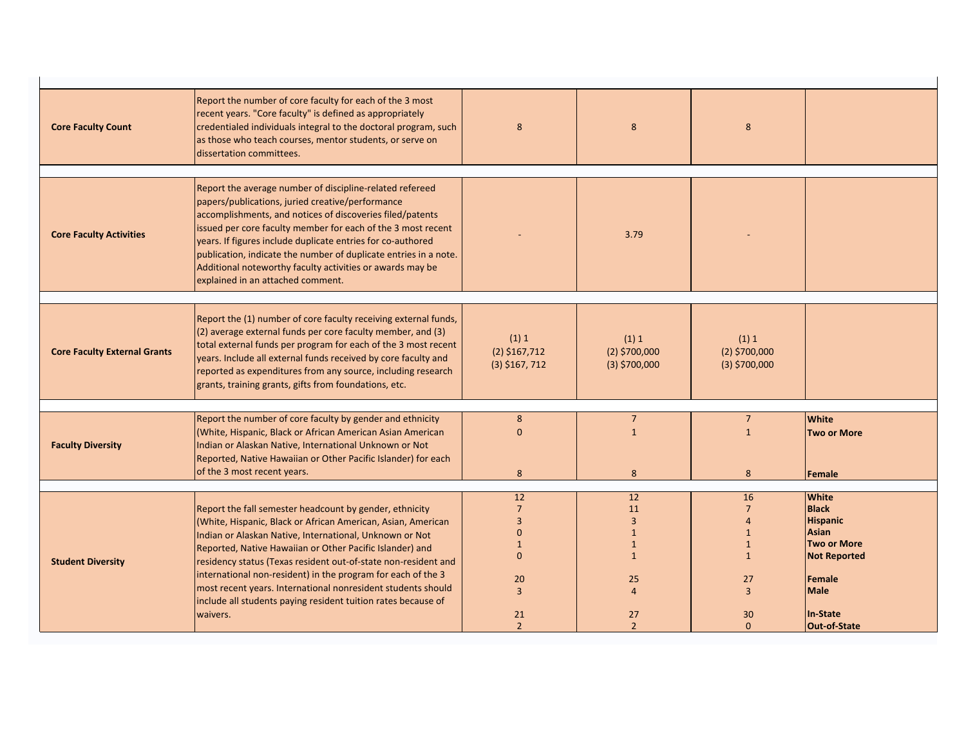| <b>Core Faculty Count</b>           | Report the number of core faculty for each of the 3 most<br>recent years. "Core faculty" is defined as appropriately<br>credentialed individuals integral to the doctoral program, such<br>as those who teach courses, mentor students, or serve on<br>dissertation committees.                                                                                                                                                                                                | 8                                            | 8                                           | 8                                           |                     |
|-------------------------------------|--------------------------------------------------------------------------------------------------------------------------------------------------------------------------------------------------------------------------------------------------------------------------------------------------------------------------------------------------------------------------------------------------------------------------------------------------------------------------------|----------------------------------------------|---------------------------------------------|---------------------------------------------|---------------------|
|                                     |                                                                                                                                                                                                                                                                                                                                                                                                                                                                                |                                              |                                             |                                             |                     |
| <b>Core Faculty Activities</b>      | Report the average number of discipline-related refereed<br>papers/publications, juried creative/performance<br>accomplishments, and notices of discoveries filed/patents<br>issued per core faculty member for each of the 3 most recent<br>years. If figures include duplicate entries for co-authored<br>publication, indicate the number of duplicate entries in a note.<br>Additional noteworthy faculty activities or awards may be<br>explained in an attached comment. |                                              | 3.79                                        |                                             |                     |
|                                     |                                                                                                                                                                                                                                                                                                                                                                                                                                                                                |                                              |                                             |                                             |                     |
| <b>Core Faculty External Grants</b> | Report the (1) number of core faculty receiving external funds,<br>(2) average external funds per core faculty member, and (3)<br>total external funds per program for each of the 3 most recent<br>years. Include all external funds received by core faculty and<br>reported as expenditures from any source, including research<br>grants, training grants, gifts from foundations, etc.                                                                                    | (1) 1<br>$(2)$ \$167,712<br>$(3)$ \$167, 712 | (1) 1<br>$(2)$ \$700,000<br>$(3)$ \$700,000 | (1) 1<br>$(2)$ \$700,000<br>$(3)$ \$700,000 |                     |
|                                     |                                                                                                                                                                                                                                                                                                                                                                                                                                                                                |                                              |                                             |                                             |                     |
|                                     | Report the number of core faculty by gender and ethnicity                                                                                                                                                                                                                                                                                                                                                                                                                      | 8                                            | $\overline{7}$                              | 7 <sup>7</sup>                              | <b>White</b>        |
| <b>Faculty Diversity</b>            | (White, Hispanic, Black or African American Asian American<br>Indian or Alaskan Native, International Unknown or Not<br>Reported, Native Hawaiian or Other Pacific Islander) for each                                                                                                                                                                                                                                                                                          | $\Omega$                                     | $\mathbf{1}$                                | $\mathbf{1}$                                | <b>Two or More</b>  |
|                                     | of the 3 most recent years.                                                                                                                                                                                                                                                                                                                                                                                                                                                    | 8                                            | 8                                           | 8                                           | Female              |
|                                     |                                                                                                                                                                                                                                                                                                                                                                                                                                                                                |                                              |                                             |                                             |                     |
|                                     |                                                                                                                                                                                                                                                                                                                                                                                                                                                                                | 12                                           | 12                                          | 16                                          | <b>White</b>        |
|                                     | Report the fall semester headcount by gender, ethnicity                                                                                                                                                                                                                                                                                                                                                                                                                        | $\overline{7}$                               | 11                                          | $\overline{7}$                              | <b>Black</b>        |
|                                     | (White, Hispanic, Black or African American, Asian, American                                                                                                                                                                                                                                                                                                                                                                                                                   | $\overline{3}$                               | $\overline{3}$                              | $\overline{4}$                              | <b>Hispanic</b>     |
|                                     | Indian or Alaskan Native, International, Unknown or Not                                                                                                                                                                                                                                                                                                                                                                                                                        | $\mathbf{0}$                                 | $\mathbf{1}$                                | $\mathbf{1}$                                | Asian               |
|                                     | Reported, Native Hawaiian or Other Pacific Islander) and                                                                                                                                                                                                                                                                                                                                                                                                                       | $\mathbf{1}$                                 | $\mathbf{1}$                                | $\mathbf{1}$                                | <b>Two or More</b>  |
| <b>Student Diversity</b>            | residency status (Texas resident out-of-state non-resident and                                                                                                                                                                                                                                                                                                                                                                                                                 | $\Omega$                                     | $\mathbf{1}$                                | $\mathbf{1}$                                | <b>Not Reported</b> |
|                                     | international non-resident) in the program for each of the 3                                                                                                                                                                                                                                                                                                                                                                                                                   |                                              |                                             |                                             | Female              |
|                                     | most recent years. International nonresident students should                                                                                                                                                                                                                                                                                                                                                                                                                   | 20<br>$\overline{3}$                         | 25<br>$\Delta$                              | 27<br>$\overline{3}$                        | <b>Male</b>         |
|                                     | include all students paying resident tuition rates because of                                                                                                                                                                                                                                                                                                                                                                                                                  |                                              |                                             |                                             |                     |
|                                     | waivers.                                                                                                                                                                                                                                                                                                                                                                                                                                                                       | 21                                           | 27                                          | 30                                          | In-State            |
|                                     |                                                                                                                                                                                                                                                                                                                                                                                                                                                                                | $\overline{2}$                               | $\overline{2}$                              | $\Omega$                                    | <b>Out-of-State</b> |
|                                     |                                                                                                                                                                                                                                                                                                                                                                                                                                                                                |                                              |                                             |                                             |                     |